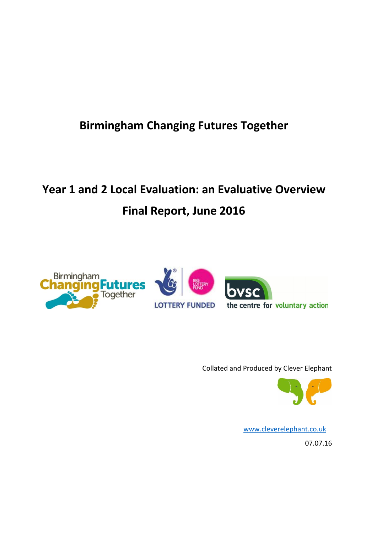## **Birmingham Changing Futures Together**

# **Year 1 and 2 Local Evaluation: an Evaluative Overview Final Report, June 2016**



Collated and Produced by Clever Elephant



[www.cleverelephant.co.uk](http://www.cleverelephant.co.uk/)

07.07.16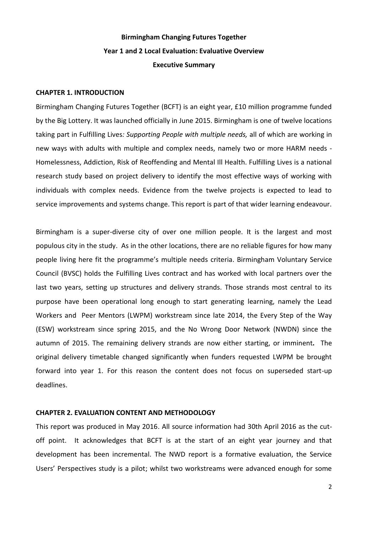## **Birmingham Changing Futures Together Year 1 and 2 Local Evaluation: Evaluative Overview Executive Summary**

#### **CHAPTER 1. INTRODUCTION**

Birmingham Changing Futures Together (BCFT) is an eight year, £10 million programme funded by the Big Lottery. It was launched officially in June 2015. Birmingham is one of twelve locations taking part in Fulfilling Lives*: Supporting People with multiple needs,* all of which are working in new ways with adults with multiple and complex needs, namely two or more HARM needs - Homelessness, Addiction, Risk of Reoffending and Mental Ill Health. Fulfilling Lives is a national research study based on project delivery to identify the most effective ways of working with individuals with complex needs. Evidence from the twelve projects is expected to lead to service improvements and systems change. This report is part of that wider learning endeavour.

Birmingham is a super-diverse city of over one million people. It is the largest and most populous city in the study. As in the other locations, there are no reliable figures for how many people living here fit the programme's multiple needs criteria. Birmingham Voluntary Service Council (BVSC) holds the Fulfilling Lives contract and has worked with local partners over the last two years, setting up structures and delivery strands. Those strands most central to its purpose have been operational long enough to start generating learning, namely the Lead Workers and Peer Mentors (LWPM) workstream since late 2014, the Every Step of the Way (ESW) workstream since spring 2015, and the No Wrong Door Network (NWDN) since the autumn of 2015. The remaining delivery strands are now either starting, or imminent*.* The original delivery timetable changed significantly when funders requested LWPM be brought forward into year 1. For this reason the content does not focus on superseded start-up deadlines.

#### **CHAPTER 2. EVALUATION CONTENT AND METHODOLOGY**

This report was produced in May 2016. All source information had 30th April 2016 as the cutoff point. It acknowledges that BCFT is at the start of an eight year journey and that development has been incremental. The NWD report is a formative evaluation, the Service Users' Perspectives study is a pilot; whilst two workstreams were advanced enough for some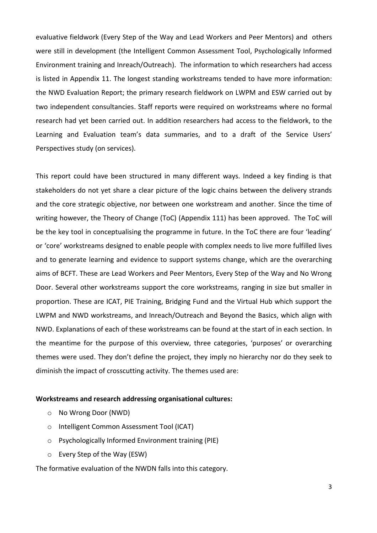evaluative fieldwork (Every Step of the Way and Lead Workers and Peer Mentors) and others were still in development (the Intelligent Common Assessment Tool, Psychologically Informed Environment training and Inreach/Outreach). The information to which researchers had access is listed in Appendix 11. The longest standing workstreams tended to have more information: the NWD Evaluation Report; the primary research fieldwork on LWPM and ESW carried out by two independent consultancies. Staff reports were required on workstreams where no formal research had yet been carried out. In addition researchers had access to the fieldwork, to the Learning and Evaluation team's data summaries, and to a draft of the Service Users' Perspectives study (on services).

This report could have been structured in many different ways. Indeed a key finding is that stakeholders do not yet share a clear picture of the logic chains between the delivery strands and the core strategic objective, nor between one workstream and another. Since the time of writing however, the Theory of Change (ToC) (Appendix 111) has been approved. The ToC will be the key tool in conceptualising the programme in future. In the ToC there are four 'leading' or 'core' workstreams designed to enable people with complex needs to live more fulfilled lives and to generate learning and evidence to support systems change, which are the overarching aims of BCFT. These are Lead Workers and Peer Mentors, Every Step of the Way and No Wrong Door. Several other workstreams support the core workstreams, ranging in size but smaller in proportion. These are ICAT, PIE Training, Bridging Fund and the Virtual Hub which support the LWPM and NWD workstreams, and Inreach/Outreach and Beyond the Basics, which align with NWD. Explanations of each of these workstreams can be found at the start of in each section. In the meantime for the purpose of this overview, three categories, 'purposes' or overarching themes were used. They don't define the project, they imply no hierarchy nor do they seek to diminish the impact of crosscutting activity. The themes used are:

#### **Workstreams and research addressing organisational cultures:**

- o No Wrong Door (NWD)
- o Intelligent Common Assessment Tool (ICAT)
- o Psychologically Informed Environment training (PIE)
- o Every Step of the Way (ESW)

The formative evaluation of the NWDN falls into this category.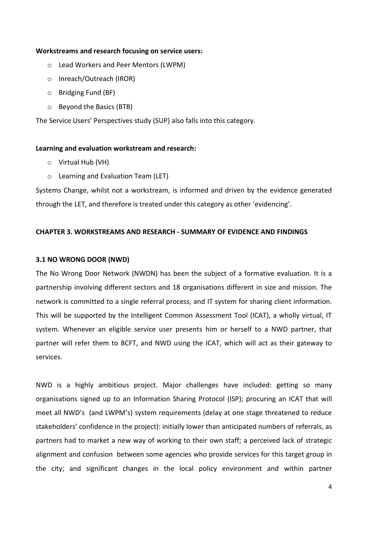#### **Workstreams and research focusing on service users:**

- o Lead Workers and Peer Mentors (LWPM)
- o Inreach/Outreach (IROR)
- o Bridging Fund (BF)
- o Beyond the Basics (BTB)

The Service Users' Perspectives study (SUP) also falls into this category.

#### **Learning and evaluation workstream and research:**

- o Virtual Hub (VH)
- o Learning and Evaluation Team (LET)

Systems Change, whilst not a workstream, is informed and driven by the evidence generated through the LET, and therefore is treated under this category as other 'evidencing'.

#### **CHAPTER 3. WORKSTREAMS AND RESEARCH - SUMMARY OF EVIDENCE AND FINDINGS**

#### **3.1 NO WRONG DOOR (NWD)**

The No Wrong Door Network (NWDN) has been the subject of a formative evaluation. It is a partnership involving different sectors and 18 organisations different in size and mission. The network is committed to a single referral process, and IT system for sharing client information. This will be supported by the Intelligent Common Assessment Tool (ICAT), a wholly virtual, IT system. Whenever an eligible service user presents him or herself to a NWD partner, that partner will refer them to BCFT, and NWD using the ICAT, which will act as their gateway to services.

NWD is a highly ambitious project. Major challenges have included: getting so many organisations signed up to an Information Sharing Protocol (ISP); procuring an ICAT that will meet all NWD's (and LWPM's) system requirements (delay at one stage threatened to reduce stakeholders' confidence in the project): initially lower than anticipated numbers of referrals, as partners had to market a new way of working to their own staff; a perceived lack of strategic alignment and confusion between some agencies who provide services for this target group in the city; and significant changes in the local policy environment and within partner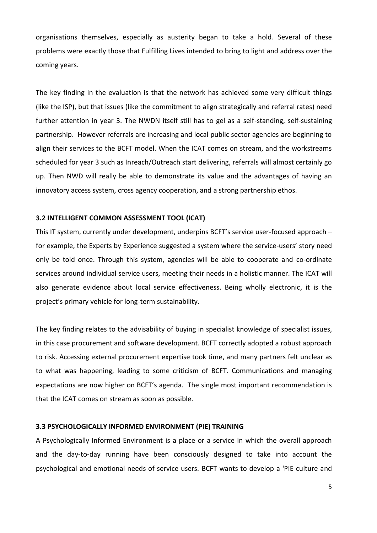organisations themselves, especially as austerity began to take a hold. Several of these problems were exactly those that Fulfilling Lives intended to bring to light and address over the coming years.

The key finding in the evaluation is that the network has achieved some very difficult things (like the ISP), but that issues (like the commitment to align strategically and referral rates) need further attention in year 3. The NWDN itself still has to gel as a self-standing, self-sustaining partnership. However referrals are increasing and local public sector agencies are beginning to align their services to the BCFT model. When the ICAT comes on stream, and the workstreams scheduled for year 3 such as Inreach/Outreach start delivering, referrals will almost certainly go up. Then NWD will really be able to demonstrate its value and the advantages of having an innovatory access system, cross agency cooperation, and a strong partnership ethos.

#### **3.2 INTELLIGENT COMMON ASSESSMENT TOOL (ICAT)**

This IT system, currently under development, underpins BCFT's service user-focused approach – for example, the Experts by Experience suggested a system where the service-users' story need only be told once. Through this system, agencies will be able to cooperate and co-ordinate services around individual service users, meeting their needs in a holistic manner. The ICAT will also generate evidence about local service effectiveness. Being wholly electronic, it is the project's primary vehicle for long-term sustainability.

The key finding relates to the advisability of buying in specialist knowledge of specialist issues, in this case procurement and software development. BCFT correctly adopted a robust approach to risk. Accessing external procurement expertise took time, and many partners felt unclear as to what was happening, leading to some criticism of BCFT. Communications and managing expectations are now higher on BCFT's agenda. The single most important recommendation is that the ICAT comes on stream as soon as possible.

#### **3.3 PSYCHOLOGICALLY INFORMED ENVIRONMENT (PIE) TRAINING**

A Psychologically Informed Environment is a place or a service in which the overall approach and the day-to-day running have been consciously designed to take into account the psychological and emotional needs of service users. BCFT wants to develop a 'PIE culture and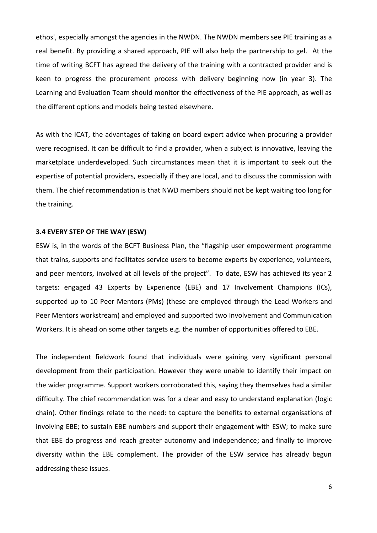ethos', especially amongst the agencies in the NWDN. The NWDN members see PIE training as a real benefit. By providing a shared approach, PIE will also help the partnership to gel. At the time of writing BCFT has agreed the delivery of the training with a contracted provider and is keen to progress the procurement process with delivery beginning now (in year 3). The Learning and Evaluation Team should monitor the effectiveness of the PIE approach, as well as the different options and models being tested elsewhere.

As with the ICAT, the advantages of taking on board expert advice when procuring a provider were recognised. It can be difficult to find a provider, when a subject is innovative, leaving the marketplace underdeveloped. Such circumstances mean that it is important to seek out the expertise of potential providers, especially if they are local, and to discuss the commission with them. The chief recommendation is that NWD members should not be kept waiting too long for the training.

#### **3.4 EVERY STEP OF THE WAY (ESW)**

ESW is, in the words of the BCFT Business Plan, the "flagship user empowerment programme that trains, supports and facilitates service users to become experts by experience, volunteers, and peer mentors, involved at all levels of the project". To date, ESW has achieved its year 2 targets: engaged 43 Experts by Experience (EBE) and 17 Involvement Champions (ICs), supported up to 10 Peer Mentors (PMs) (these are employed through the Lead Workers and Peer Mentors workstream) and employed and supported two Involvement and Communication Workers. It is ahead on some other targets e.g. the number of opportunities offered to EBE.

The independent fieldwork found that individuals were gaining very significant personal development from their participation. However they were unable to identify their impact on the wider programme. Support workers corroborated this, saying they themselves had a similar difficulty. The chief recommendation was for a clear and easy to understand explanation (logic chain). Other findings relate to the need: to capture the benefits to external organisations of involving EBE; to sustain EBE numbers and support their engagement with ESW; to make sure that EBE do progress and reach greater autonomy and independence; and finally to improve diversity within the EBE complement. The provider of the ESW service has already begun addressing these issues.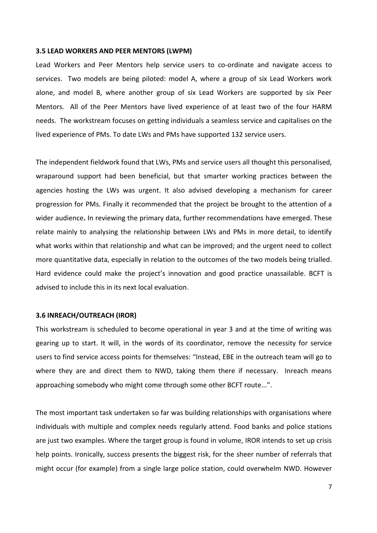#### **3.5 LEAD WORKERS AND PEER MENTORS (LWPM)**

Lead Workers and Peer Mentors help service users to co-ordinate and navigate access to services. Two models are being piloted: model A, where a group of six Lead Workers work alone, and model B, where another group of six Lead Workers are supported by six Peer Mentors. All of the Peer Mentors have lived experience of at least two of the four HARM needs. The workstream focuses on getting individuals a seamless service and capitalises on the lived experience of PMs. To date LWs and PMs have supported 132 service users.

The independent fieldwork found that LWs, PMs and service users all thought this personalised, wraparound support had been beneficial, but that smarter working practices between the agencies hosting the LWs was urgent. It also advised developing a mechanism for career progression for PMs. Finally it recommended that the project be brought to the attention of a wider audience**.** In reviewing the primary data, further recommendations have emerged. These relate mainly to analysing the relationship between LWs and PMs in more detail, to identify what works within that relationship and what can be improved; and the urgent need to collect more quantitative data, especially in relation to the outcomes of the two models being trialled. Hard evidence could make the project's innovation and good practice unassailable. BCFT is advised to include this in its next local evaluation.

#### **3.6 INREACH/OUTREACH (IROR)**

This workstream is scheduled to become operational in year 3 and at the time of writing was gearing up to start. It will, in the words of its coordinator, remove the necessity for service users to find service access points for themselves: "Instead, EBE in the outreach team will go to where they are and direct them to NWD, taking them there if necessary. Inreach means approaching somebody who might come through some other BCFT route...".

The most important task undertaken so far was building relationships with organisations where individuals with multiple and complex needs regularly attend. Food banks and police stations are just two examples. Where the target group is found in volume, IROR intends to set up crisis help points. Ironically, success presents the biggest risk, for the sheer number of referrals that might occur (for example) from a single large police station, could overwhelm NWD. However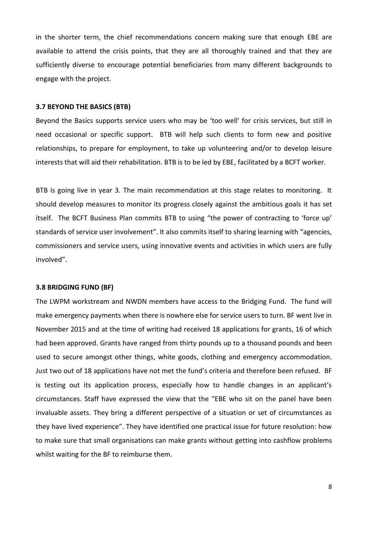in the shorter term, the chief recommendations concern making sure that enough EBE are available to attend the crisis points, that they are all thoroughly trained and that they are sufficiently diverse to encourage potential beneficiaries from many different backgrounds to engage with the project.

#### **3.7 BEYOND THE BASICS (BTB)**

Beyond the Basics supports service users who may be 'too well' for crisis services, but still in need occasional or specific support. BTB will help such clients to form new and positive relationships, to prepare for employment, to take up volunteering and/or to develop leisure interests that will aid their rehabilitation. BTB is to be led by EBE, facilitated by a BCFT worker.

BTB is going live in year 3. The main recommendation at this stage relates to monitoring. It should develop measures to monitor its progress closely against the ambitious goals it has set itself. The BCFT Business Plan commits BTB to using "the power of contracting to 'force up' standards of service user involvement". It also commits itself to sharing learning with "agencies, commissioners and service users, using innovative events and activities in which users are fully involved".

#### **3.8 BRIDGING FUND (BF)**

The LWPM workstream and NWDN members have access to the Bridging Fund. The fund will make emergency payments when there is nowhere else for service users to turn. BF went live in November 2015 and at the time of writing had received 18 applications for grants, 16 of which had been approved. Grants have ranged from thirty pounds up to a thousand pounds and been used to secure amongst other things, white goods, clothing and emergency accommodation. Just two out of 18 applications have not met the fund's criteria and therefore been refused.BF is testing out its application process, especially how to handle changes in an applicant's circumstances. Staff have expressed the view that the "EBE who sit on the panel have been invaluable assets. They bring a different perspective of a situation or set of circumstances as they have lived experience". They have identified one practical issue for future resolution: how to make sure that small organisations can make grants without getting into cashflow problems whilst waiting for the BF to reimburse them.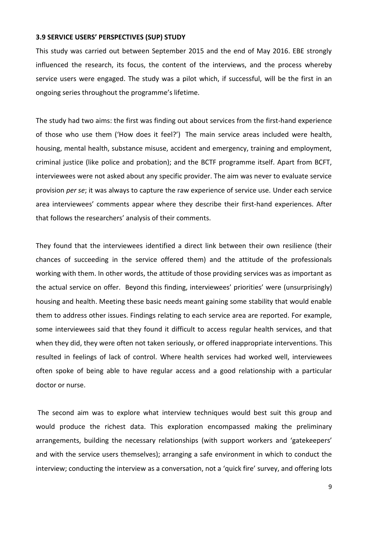#### **3.9 SERVICE USERS' PERSPECTIVES (SUP) STUDY**

This study was carried out between September 2015 and the end of May 2016. EBE strongly influenced the research, its focus, the content of the interviews, and the process whereby service users were engaged. The study was a pilot which, if successful, will be the first in an ongoing series throughout the programme's lifetime.

The study had two aims: the first was finding out about services from the first-hand experience of those who use them ('How does it feel?') The main service areas included were health, housing, mental health, substance misuse, accident and emergency, training and employment, criminal justice (like police and probation); and the BCTF programme itself. Apart from BCFT, interviewees were not asked about any specific provider. The aim was never to evaluate service provision *per se*; it was always to capture the raw experience of service use. Under each service area interviewees' comments appear where they describe their first-hand experiences. After that follows the researchers' analysis of their comments.

They found that the interviewees identified a direct link between their own resilience (their chances of succeeding in the service offered them) and the attitude of the professionals working with them. In other words, the attitude of those providing services was as important as the actual service on offer. Beyond this finding, interviewees' priorities' were (unsurprisingly) housing and health. Meeting these basic needs meant gaining some stability that would enable them to address other issues. Findings relating to each service area are reported. For example, some interviewees said that they found it difficult to access regular health services, and that when they did, they were often not taken seriously, or offered inappropriate interventions. This resulted in feelings of lack of control. Where health services had worked well, interviewees often spoke of being able to have regular access and a good relationship with a particular doctor or nurse.

The second aim was to explore what interview techniques would best suit this group and would produce the richest data. This exploration encompassed making the preliminary arrangements, building the necessary relationships (with support workers and 'gatekeepers' and with the service users themselves); arranging a safe environment in which to conduct the interview; conducting the interview as a conversation, not a 'quick fire' survey, and offering lots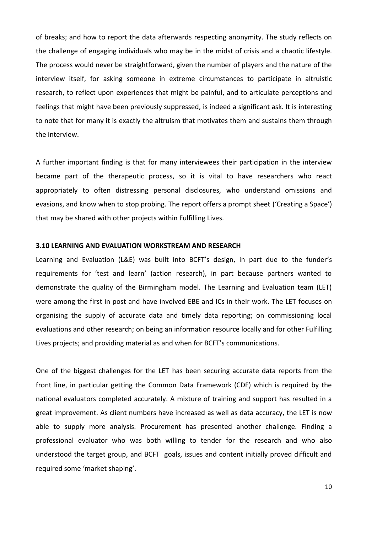of breaks; and how to report the data afterwards respecting anonymity. The study reflects on the challenge of engaging individuals who may be in the midst of crisis and a chaotic lifestyle. The process would never be straightforward, given the number of players and the nature of the interview itself, for asking someone in extreme circumstances to participate in altruistic research, to reflect upon experiences that might be painful, and to articulate perceptions and feelings that might have been previously suppressed, is indeed a significant ask. It is interesting to note that for many it is exactly the altruism that motivates them and sustains them through the interview.

A further important finding is that for many interviewees their participation in the interview became part of the therapeutic process, so it is vital to have researchers who react appropriately to often distressing personal disclosures, who understand omissions and evasions, and know when to stop probing. The report offers a prompt sheet ('Creating a Space') that may be shared with other projects within Fulfilling Lives*.*

#### **3.10 LEARNING AND EVALUATION WORKSTREAM AND RESEARCH**

Learning and Evaluation (L&E) was built into BCFT's design, in part due to the funder's requirements for 'test and learn' (action research), in part because partners wanted to demonstrate the quality of the Birmingham model. The Learning and Evaluation team (LET) were among the first in post and have involved EBE and ICs in their work. The LET focuses on organising the supply of accurate data and timely data reporting; on commissioning local evaluations and other research; on being an information resource locally and for other Fulfilling Lives projects; and providing material as and when for BCFT's communications.

One of the biggest challenges for the LET has been securing accurate data reports from the front line, in particular getting the Common Data Framework (CDF) which is required by the national evaluators completed accurately. A mixture of training and support has resulted in a great improvement. As client numbers have increased as well as data accuracy, the LET is now able to supply more analysis. Procurement has presented another challenge. Finding a professional evaluator who was both willing to tender for the research and who also understood the target group, and BCFT goals, issues and content initially proved difficult and required some 'market shaping'.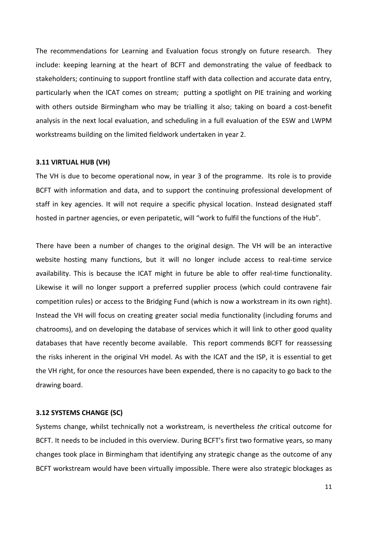The recommendations for Learning and Evaluation focus strongly on future research. They include: keeping learning at the heart of BCFT and demonstrating the value of feedback to stakeholders; continuing to support frontline staff with data collection and accurate data entry, particularly when the ICAT comes on stream; putting a spotlight on PIE training and working with others outside Birmingham who may be trialling it also; taking on board a cost-benefit analysis in the next local evaluation, and scheduling in a full evaluation of the ESW and LWPM workstreams building on the limited fieldwork undertaken in year 2.

#### **3.11 VIRTUAL HUB (VH)**

The VH is due to become operational now, in year 3 of the programme. Its role is to provide BCFT with information and data, and to support the continuing professional development of staff in key agencies. It will not require a specific physical location. Instead designated staff hosted in partner agencies, or even peripatetic, will "work to fulfil the functions of the Hub".

There have been a number of changes to the original design. The VH will be an interactive website hosting many functions, but it will no longer include access to real-time service availability. This is because the ICAT might in future be able to offer real-time functionality. Likewise it will no longer support a preferred supplier process (which could contravene fair competition rules) or access to the Bridging Fund (which is now a workstream in its own right). Instead the VH will focus on creating greater social media functionality (including forums and chatrooms), and on developing the database of services which it will link to other good quality databases that have recently become available. This report commends BCFT for reassessing the risks inherent in the original VH model. As with the ICAT and the ISP, it is essential to get the VH right, for once the resources have been expended, there is no capacity to go back to the drawing board.

#### **3.12 SYSTEMS CHANGE (SC)**

Systems change, whilst technically not a workstream, is nevertheless *the* critical outcome for BCFT. It needs to be included in this overview. During BCFT's first two formative years, so many changes took place in Birmingham that identifying any strategic change as the outcome of any BCFT workstream would have been virtually impossible. There were also strategic blockages as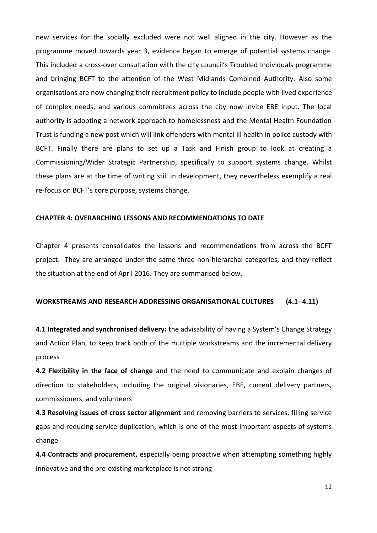new services for the socially excluded were not well aligned in the city. However as the programme moved towards year 3, evidence began to emerge of potential systems change. This included a cross-over consultation with the city council's Troubled Individuals programme and bringing BCFT to the attention of the West Midlands Combined Authority. Also some organisations are now changing their recruitment policy to include people with lived experience of complex needs, and various committees across the city now invite EBE input. The local authority is adopting a network approach to homelessness and the Mental Health Foundation Trust is funding a new post which will link offenders with mental ill health in police custody with BCFT. Finally there are plans to set up a Task and Finish group to look at creating a Commissioning/Wider Strategic Partnership, specifically to support systems change. Whilst these plans are at the time of writing still in development, they nevertheless exemplify a real re-focus on BCFT's core purpose, systems change.

#### **CHAPTER 4: OVERARCHING LESSONS AND RECOMMENDATIONS TO DATE**

Chapter 4 presents consolidates the lessons and recommendations from across the BCFT project. They are arranged under the same three non-hierarchal categories, and they reflect the situation at the end of April 2016. They are summarised below.

#### **WORKSTREAMS AND RESEARCH ADDRESSING ORGANISATIONAL CULTURES (4.1- 4.11)**

**4.1 Integrated and synchronised delivery:** the advisability of having a System's Change Strategy and Action Plan, to keep track both of the multiple workstreams and the incremental delivery process

**4.2 Flexibility in the face of change** and the need to communicate and explain changes of direction to stakeholders, including the original visionaries, EBE, current delivery partners, commissioners, and volunteers

**4.3 Resolving issues of cross sector alignment** and removing barriers to services, filling service gaps and reducing service duplication, which is one of the most important aspects of systems change

**4.4 Contracts and procurement,** especially being proactive when attempting something highly innovative and the pre-existing marketplace is not strong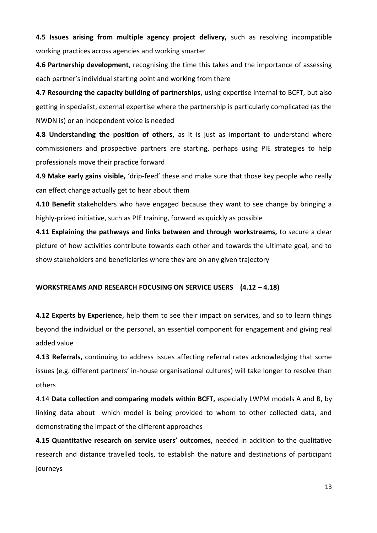**4.5 Issues arising from multiple agency project delivery,** such as resolving incompatible working practices across agencies and working smarter

**4.6 Partnership development**, recognising the time this takes and the importance of assessing each partner's individual starting point and working from there

**4.7 Resourcing the capacity building of partnerships**, using expertise internal to BCFT, but also getting in specialist, external expertise where the partnership is particularly complicated (as the NWDN is) or an independent voice is needed

**4.8 Understanding the position of others,** as it is just as important to understand where commissioners and prospective partners are starting, perhaps using PIE strategies to help professionals move their practice forward

**4.9 Make early gains visible,** 'drip-feed' these and make sure that those key people who really can effect change actually get to hear about them

**4.10 Benefit** stakeholders who have engaged because they want to see change by bringing a highly-prized initiative, such as PIE training, forward as quickly as possible

**4.11 Explaining the pathways and links between and through workstreams,** to secure a clear picture of how activities contribute towards each other and towards the ultimate goal, and to show stakeholders and beneficiaries where they are on any given trajectory

#### **WORKSTREAMS AND RESEARCH FOCUSING ON SERVICE USERS (4.12 – 4.18)**

**4.12 Experts by Experience**, help them to see their impact on services, and so to learn things beyond the individual or the personal, an essential component for engagement and giving real added value

**4.13 Referrals,** continuing to address issues affecting referral rates acknowledging that some issues (e.g. different partners' in-house organisational cultures) will take longer to resolve than others

4.14 **Data collection and comparing models within BCFT,** especially LWPM models A and B, by linking data about which model is being provided to whom to other collected data, and demonstrating the impact of the different approaches

**4.15 Quantitative research on service users' outcomes,** needed in addition to the qualitative research and distance travelled tools, to establish the nature and destinations of participant journeys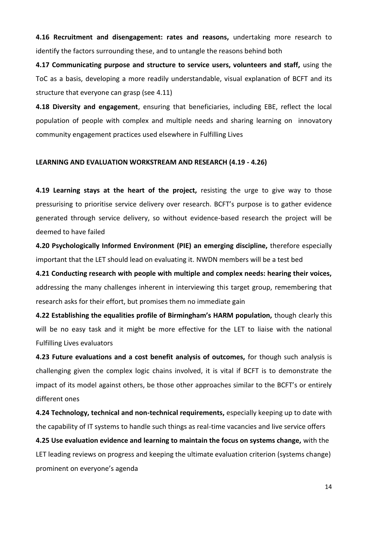**4.16 Recruitment and disengagement: rates and reasons,** undertaking more research to identify the factors surrounding these, and to untangle the reasons behind both

**4.17 Communicating purpose and structure to service users, volunteers and staff,** using the ToC as a basis, developing a more readily understandable, visual explanation of BCFT and its structure that everyone can grasp (see 4.11)

**4.18 Diversity and engagement**, ensuring that beneficiaries, including EBE, reflect the local population of people with complex and multiple needs and sharing learning on innovatory community engagement practices used elsewhere in Fulfilling Lives

#### **LEARNING AND EVALUATION WORKSTREAM AND RESEARCH (4.19 - 4.26)**

**4.19 Learning stays at the heart of the project, resisting the urge to give way to those** pressurising to prioritise service delivery over research. BCFT's purpose is to gather evidence generated through service delivery, so without evidence-based research the project will be deemed to have failed

**4.20 Psychologically Informed Environment (PIE) an emerging discipline,** therefore especially important that the LET should lead on evaluating it. NWDN members will be a test bed

**4.21 Conducting research with people with multiple and complex needs: hearing their voices,** addressing the many challenges inherent in interviewing this target group, remembering that research asks for their effort, but promises them no immediate gain

**4.22 Establishing the equalities profile of Birmingham's HARM population,** though clearly this will be no easy task and it might be more effective for the LET to liaise with the national Fulfilling Lives evaluators

**4.23 Future evaluations and a cost benefit analysis of outcomes,** for though such analysis is challenging given the complex logic chains involved, it is vital if BCFT is to demonstrate the impact of its model against others, be those other approaches similar to the BCFT's or entirely different ones

**4.24 Technology, technical and non-technical requirements,** especially keeping up to date with the capability of IT systems to handle such things as real-time vacancies and live service offers

**4.25 Use evaluation evidence and learning to maintain the focus on systems change,** with the LET leading reviews on progress and keeping the ultimate evaluation criterion (systems change) prominent on everyone's agenda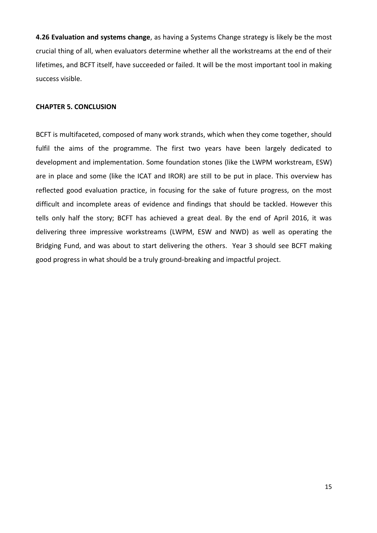**4.26 Evaluation and systems change**, as having a Systems Change strategy is likely be the most crucial thing of all, when evaluators determine whether all the workstreams at the end of their lifetimes, and BCFT itself, have succeeded or failed. It will be the most important tool in making success visible.

#### **CHAPTER 5. CONCLUSION**

BCFT is multifaceted, composed of many work strands, which when they come together, should fulfil the aims of the programme. The first two years have been largely dedicated to development and implementation. Some foundation stones (like the LWPM workstream, ESW) are in place and some (like the ICAT and IROR) are still to be put in place. This overview has reflected good evaluation practice, in focusing for the sake of future progress, on the most difficult and incomplete areas of evidence and findings that should be tackled. However this tells only half the story; BCFT has achieved a great deal. By the end of April 2016, it was delivering three impressive workstreams (LWPM, ESW and NWD) as well as operating the Bridging Fund, and was about to start delivering the others. Year 3 should see BCFT making good progress in what should be a truly ground-breaking and impactful project.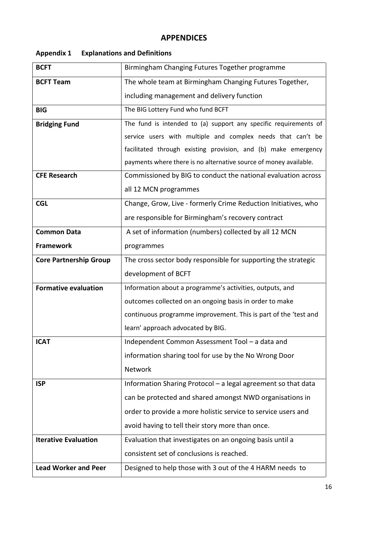#### **APPENDICES**

| <b>BCFT</b>                   | Birmingham Changing Futures Together programme                    |
|-------------------------------|-------------------------------------------------------------------|
| <b>BCFT Team</b>              | The whole team at Birmingham Changing Futures Together,           |
|                               | including management and delivery function                        |
| <b>BIG</b>                    | The BIG Lottery Fund who fund BCFT                                |
| <b>Bridging Fund</b>          | The fund is intended to (a) support any specific requirements of  |
|                               | service users with multiple and complex needs that can't be       |
|                               | facilitated through existing provision, and (b) make emergency    |
|                               | payments where there is no alternative source of money available. |
| <b>CFE Research</b>           | Commissioned by BIG to conduct the national evaluation across     |
|                               | all 12 MCN programmes                                             |
| <b>CGL</b>                    | Change, Grow, Live - formerly Crime Reduction Initiatives, who    |
|                               | are responsible for Birmingham's recovery contract                |
| <b>Common Data</b>            | A set of information (numbers) collected by all 12 MCN            |
| <b>Framework</b>              | programmes                                                        |
| <b>Core Partnership Group</b> | The cross sector body responsible for supporting the strategic    |
|                               | development of BCFT                                               |
| <b>Formative evaluation</b>   | Information about a programme's activities, outputs, and          |
|                               | outcomes collected on an ongoing basis in order to make           |
|                               | continuous programme improvement. This is part of the 'test and   |
|                               | learn' approach advocated by BIG.                                 |
| <b>ICAT</b>                   | Independent Common Assessment Tool - a data and                   |
|                               | information sharing tool for use by the No Wrong Door             |
|                               | Network                                                           |
| <b>ISP</b>                    | Information Sharing Protocol - a legal agreement so that data     |
|                               | can be protected and shared amongst NWD organisations in          |
|                               | order to provide a more holistic service to service users and     |
|                               | avoid having to tell their story more than once.                  |
| <b>Iterative Evaluation</b>   | Evaluation that investigates on an ongoing basis until a          |
|                               | consistent set of conclusions is reached.                         |
| <b>Lead Worker and Peer</b>   | Designed to help those with 3 out of the 4 HARM needs to          |

#### **Appendix 1 Explanations and Definitions**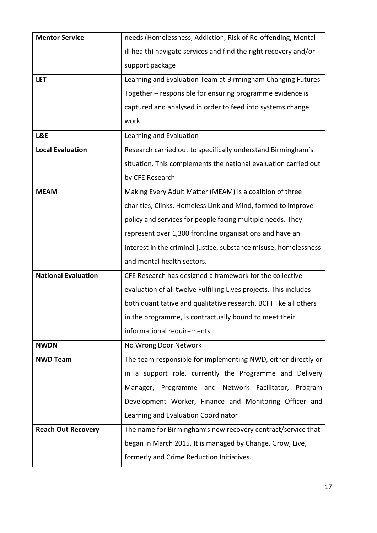| <b>Mentor Service</b>      | needs (Homelessness, Addiction, Risk of Re-offending, Mental      |
|----------------------------|-------------------------------------------------------------------|
|                            | ill health) navigate services and find the right recovery and/or  |
|                            | support package                                                   |
| <b>LET</b>                 | Learning and Evaluation Team at Birmingham Changing Futures       |
|                            | Together - responsible for ensuring programme evidence is         |
|                            | captured and analysed in order to feed into systems change        |
|                            | work                                                              |
| L&E                        | Learning and Evaluation                                           |
| <b>Local Evaluation</b>    | Research carried out to specifically understand Birmingham's      |
|                            | situation. This complements the national evaluation carried out   |
|                            | by CFE Research                                                   |
| <b>MEAM</b>                | Making Every Adult Matter (MEAM) is a coalition of three          |
|                            | charities, Clinks, Homeless Link and Mind, formed to improve      |
|                            | policy and services for people facing multiple needs. They        |
|                            | represent over 1,300 frontline organisations and have an          |
|                            | interest in the criminal justice, substance misuse, homelessness  |
|                            | and mental health sectors.                                        |
| <b>National Evaluation</b> | CFE Research has designed a framework for the collective          |
|                            | evaluation of all twelve Fulfilling Lives projects. This includes |
|                            | both quantitative and qualitative research. BCFT like all others  |
|                            | in the programme, is contractually bound to meet their            |
|                            | informational requirements                                        |
| <b>NWDN</b>                | No Wrong Door Network                                             |
| <b>NWD Team</b>            | The team responsible for implementing NWD, either directly or     |
|                            | in a support role, currently the Programme and Delivery           |
|                            | Manager, Programme and Network Facilitator, Program               |
|                            | Development Worker, Finance and Monitoring Officer and            |
|                            | Learning and Evaluation Coordinator                               |
| <b>Reach Out Recovery</b>  | The name for Birmingham's new recovery contract/service that      |
|                            | began in March 2015. It is managed by Change, Grow, Live,         |
|                            | formerly and Crime Reduction Initiatives.                         |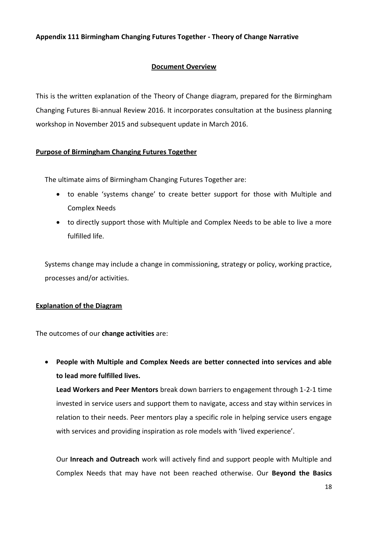#### **Appendix 111 Birmingham Changing Futures Together - Theory of Change Narrative**

#### **Document Overview**

This is the written explanation of the Theory of Change diagram, prepared for the Birmingham Changing Futures Bi-annual Review 2016. It incorporates consultation at the business planning workshop in November 2015 and subsequent update in March 2016.

#### **Purpose of Birmingham Changing Futures Together**

The ultimate aims of Birmingham Changing Futures Together are:

- to enable 'systems change' to create better support for those with Multiple and Complex Needs
- to directly support those with Multiple and Complex Needs to be able to live a more fulfilled life.

Systems change may include a change in commissioning, strategy or policy, working practice, processes and/or activities.

#### **Explanation of the Diagram**

The outcomes of our **change activities** are:

 **People with Multiple and Complex Needs are better connected into services and able to lead more fulfilled lives.** 

**Lead Workers and Peer Mentors** break down barriers to engagement through 1-2-1 time invested in service users and support them to navigate, access and stay within services in relation to their needs. Peer mentors play a specific role in helping service users engage with services and providing inspiration as role models with 'lived experience'.

Our **Inreach and Outreach** work will actively find and support people with Multiple and Complex Needs that may have not been reached otherwise. Our **Beyond the Basics**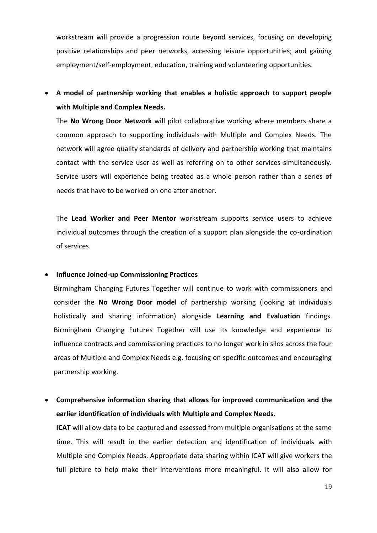workstream will provide a progression route beyond services, focusing on developing positive relationships and peer networks, accessing leisure opportunities; and gaining employment/self-employment, education, training and volunteering opportunities.

 **A model of partnership working that enables a holistic approach to support people with Multiple and Complex Needs.**

The **No Wrong Door Network** will pilot collaborative working where members share a common approach to supporting individuals with Multiple and Complex Needs. The network will agree quality standards of delivery and partnership working that maintains contact with the service user as well as referring on to other services simultaneously. Service users will experience being treated as a whole person rather than a series of needs that have to be worked on one after another.

The **Lead Worker and Peer Mentor** workstream supports service users to achieve individual outcomes through the creation of a support plan alongside the co-ordination of services.

#### **Influence Joined-up Commissioning Practices**

Birmingham Changing Futures Together will continue to work with commissioners and consider the **No Wrong Door model** of partnership working (looking at individuals holistically and sharing information) alongside **Learning and Evaluation** findings. Birmingham Changing Futures Together will use its knowledge and experience to influence contracts and commissioning practices to no longer work in silos across the four areas of Multiple and Complex Needs e.g. focusing on specific outcomes and encouraging partnership working.

 **Comprehensive information sharing that allows for improved communication and the earlier identification of individuals with Multiple and Complex Needs.**

**ICAT** will allow data to be captured and assessed from multiple organisations at the same time. This will result in the earlier detection and identification of individuals with Multiple and Complex Needs. Appropriate data sharing within ICAT will give workers the full picture to help make their interventions more meaningful. It will also allow for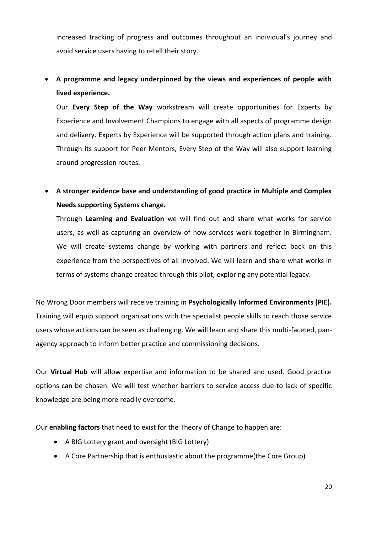increased tracking of progress and outcomes throughout an individual's journey and avoid service users having to retell their story.

### **A programme and legacy underpinned by the views and experiences of people with lived experience.**

Our **Every Step of the Way** workstream will create opportunities for Experts by Experience and Involvement Champions to engage with all aspects of programme design and delivery. Experts by Experience will be supported through action plans and training. Through its support for Peer Mentors, Every Step of the Way will also support learning around progression routes.

 **A stronger evidence base and understanding of good practice in Multiple and Complex Needs supporting Systems change.**

Through **Learning and Evaluation** we will find out and share what works for service users, as well as capturing an overview of how services work together in Birmingham. We will create systems change by working with partners and reflect back on this experience from the perspectives of all involved. We will learn and share what works in terms of systems change created through this pilot, exploring any potential legacy.

No Wrong Door members will receive training in **Psychologically Informed Environments (PIE).**  Training will equip support organisations with the specialist people skills to reach those service users whose actions can be seen as challenging. We will learn and share this multi-faceted, panagency approach to inform better practice and commissioning decisions.

Our **Virtual Hub** will allow expertise and information to be shared and used. Good practice options can be chosen. We will test whether barriers to service access due to lack of specific knowledge are being more readily overcome.

Our **enabling factors** that need to exist for the Theory of Change to happen are:

- A BIG Lottery grant and oversight (BIG Lottery)
- A Core Partnership that is enthusiastic about the programme(the Core Group)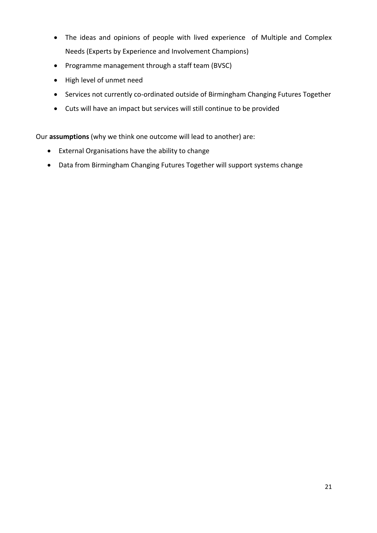- The ideas and opinions of people with lived experience of Multiple and Complex Needs (Experts by Experience and Involvement Champions)
- Programme management through a staff team (BVSC)
- High level of unmet need
- Services not currently co-ordinated outside of Birmingham Changing Futures Together
- Cuts will have an impact but services will still continue to be provided

Our **assumptions** (why we think one outcome will lead to another) are:

- External Organisations have the ability to change
- Data from Birmingham Changing Futures Together will support systems change